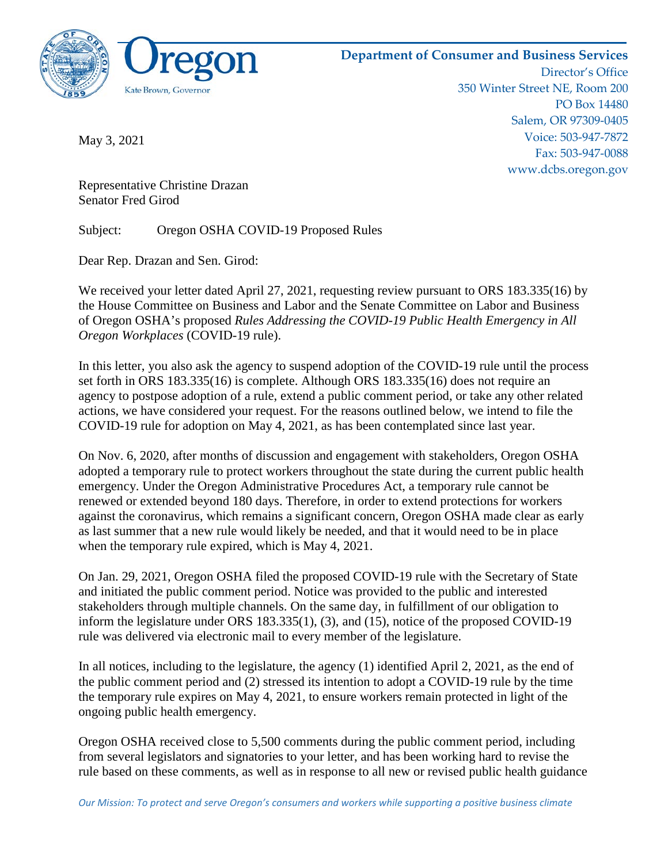

**Department of Consumer and Business Services** Director's Office 350 Winter Street NE, Room 200 PO Box 14480 Salem, OR 97309-0405 Voice: 503-947-7872 Fax: 503-947-0088

May 3, 2021

www.dcbs.oregon.gov

Representative Christine Drazan Senator Fred Girod

Subject: Oregon OSHA COVID-19 Proposed Rules

Dear Rep. Drazan and Sen. Girod:

We received your letter dated April 27, 2021, requesting review pursuant to ORS 183.335(16) by the House Committee on Business and Labor and the Senate Committee on Labor and Business of Oregon OSHA's proposed *Rules Addressing the COVID-19 Public Health Emergency in All Oregon Workplaces* (COVID-19 rule).

In this letter, you also ask the agency to suspend adoption of the COVID-19 rule until the process set forth in ORS 183.335(16) is complete. Although ORS 183.335(16) does not require an agency to postpose adoption of a rule, extend a public comment period, or take any other related actions, we have considered your request. For the reasons outlined below, we intend to file the COVID-19 rule for adoption on May 4, 2021, as has been contemplated since last year.

On Nov. 6, 2020, after months of discussion and engagement with stakeholders, Oregon OSHA adopted a temporary rule to protect workers throughout the state during the current public health emergency. Under the Oregon Administrative Procedures Act, a temporary rule cannot be renewed or extended beyond 180 days. Therefore, in order to extend protections for workers against the coronavirus, which remains a significant concern, Oregon OSHA made clear as early as last summer that a new rule would likely be needed, and that it would need to be in place when the temporary rule expired, which is May 4, 2021.

On Jan. 29, 2021, Oregon OSHA filed the proposed COVID-19 rule with the Secretary of State and initiated the public comment period. Notice was provided to the public and interested stakeholders through multiple channels. On the same day, in fulfillment of our obligation to inform the legislature under ORS 183.335(1), (3), and (15), notice of the proposed COVID-19 rule was delivered via electronic mail to every member of the legislature.

In all notices, including to the legislature, the agency (1) identified April 2, 2021, as the end of the public comment period and (2) stressed its intention to adopt a COVID-19 rule by the time the temporary rule expires on May 4, 2021, to ensure workers remain protected in light of the ongoing public health emergency.

Oregon OSHA received close to 5,500 comments during the public comment period, including from several legislators and signatories to your letter, and has been working hard to revise the rule based on these comments, as well as in response to all new or revised public health guidance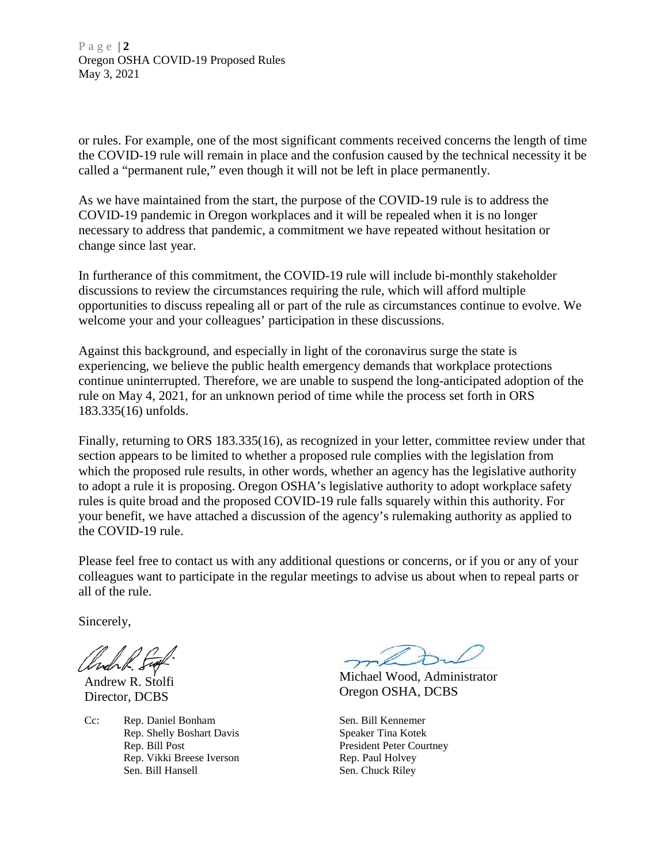Page | **2** Oregon OSHA COVID-19 Proposed Rules May 3, 2021

or rules. For example, one of the most significant comments received concerns the length of time the COVID-19 rule will remain in place and the confusion caused by the technical necessity it be called a "permanent rule," even though it will not be left in place permanently.

As we have maintained from the start, the purpose of the COVID-19 rule is to address the COVID-19 pandemic in Oregon workplaces and it will be repealed when it is no longer necessary to address that pandemic, a commitment we have repeated without hesitation or change since last year.

In furtherance of this commitment, the COVID-19 rule will include bi-monthly stakeholder discussions to review the circumstances requiring the rule, which will afford multiple opportunities to discuss repealing all or part of the rule as circumstances continue to evolve. We welcome your and your colleagues' participation in these discussions.

Against this background, and especially in light of the coronavirus surge the state is experiencing, we believe the public health emergency demands that workplace protections continue uninterrupted. Therefore, we are unable to suspend the long-anticipated adoption of the rule on May 4, 2021, for an unknown period of time while the process set forth in ORS 183.335(16) unfolds.

Finally, returning to ORS 183.335(16), as recognized in your letter, committee review under that section appears to be limited to whether a proposed rule complies with the legislation from which the proposed rule results, in other words, whether an agency has the legislative authority to adopt a rule it is proposing. Oregon OSHA's legislative authority to adopt workplace safety rules is quite broad and the proposed COVID-19 rule falls squarely within this authority. For your benefit, we have attached a discussion of the agency's rulemaking authority as applied to the COVID-19 rule.

Please feel free to contact us with any additional questions or concerns, or if you or any of your colleagues want to participate in the regular meetings to advise us about when to repeal parts or all of the rule.

Sincerely,

Andrew R. Stolfi Director, DCBS

Cc: Rep. Daniel Bonham Rep. Shelly Boshart Davis Rep. Bill Post Rep. Vikki Breese Iverson Sen. Bill Hansell

L

Michael Wood, Administrator Oregon OSHA, DCBS

Sen. Bill Kennemer Speaker Tina Kotek President Peter Courtney Rep. Paul Holvey Sen. Chuck Riley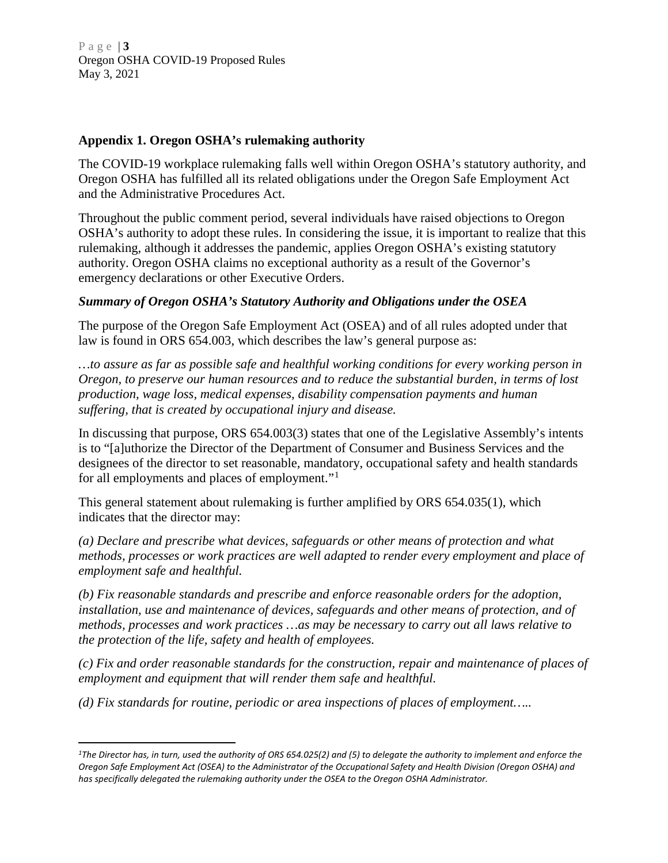Page | **3** Oregon OSHA COVID-19 Proposed Rules May 3, 2021

## **Appendix 1. Oregon OSHA's rulemaking authority**

The COVID-19 workplace rulemaking falls well within Oregon OSHA's statutory authority, and Oregon OSHA has fulfilled all its related obligations under the Oregon Safe Employment Act and the Administrative Procedures Act.

Throughout the public comment period, several individuals have raised objections to Oregon OSHA's authority to adopt these rules. In considering the issue, it is important to realize that this rulemaking, although it addresses the pandemic, applies Oregon OSHA's existing statutory authority. Oregon OSHA claims no exceptional authority as a result of the Governor's emergency declarations or other Executive Orders.

## *Summary of Oregon OSHA's Statutory Authority and Obligations under the OSEA*

The purpose of the Oregon Safe Employment Act (OSEA) and of all rules adopted under that law is found in ORS 654.003, which describes the law's general purpose as:

*…to assure as far as possible safe and healthful working conditions for every working person in Oregon, to preserve our human resources and to reduce the substantial burden, in terms of lost production, wage loss, medical expenses, disability compensation payments and human suffering, that is created by occupational injury and disease.* 

In discussing that purpose, ORS 654.003(3) states that one of the Legislative Assembly's intents is to "[a]uthorize the Director of the Department of Consumer and Business Services and the designees of the director to set reasonable, mandatory, occupational safety and health standards for all employments and places of employment."[1](#page-2-0)

This general statement about rulemaking is further amplified by ORS 654.035(1), which indicates that the director may:

*(a) Declare and prescribe what devices, safeguards or other means of protection and what methods, processes or work practices are well adapted to render every employment and place of employment safe and healthful.* 

*(b) Fix reasonable standards and prescribe and enforce reasonable orders for the adoption, installation, use and maintenance of devices, safeguards and other means of protection, and of methods, processes and work practices …as may be necessary to carry out all laws relative to the protection of the life, safety and health of employees.*

*(c) Fix and order reasonable standards for the construction, repair and maintenance of places of employment and equipment that will render them safe and healthful.*

*(d) Fix standards for routine, periodic or area inspections of places of employment…..*

 $\overline{a}$ 

<span id="page-2-0"></span>*<sup>1</sup>The Director has, in turn, used the authority of ORS 654.025(2) and (5) to delegate the authority to implement and enforce the Oregon Safe Employment Act (OSEA) to the Administrator of the Occupational Safety and Health Division (Oregon OSHA) and has specifically delegated the rulemaking authority under the OSEA to the Oregon OSHA Administrator.*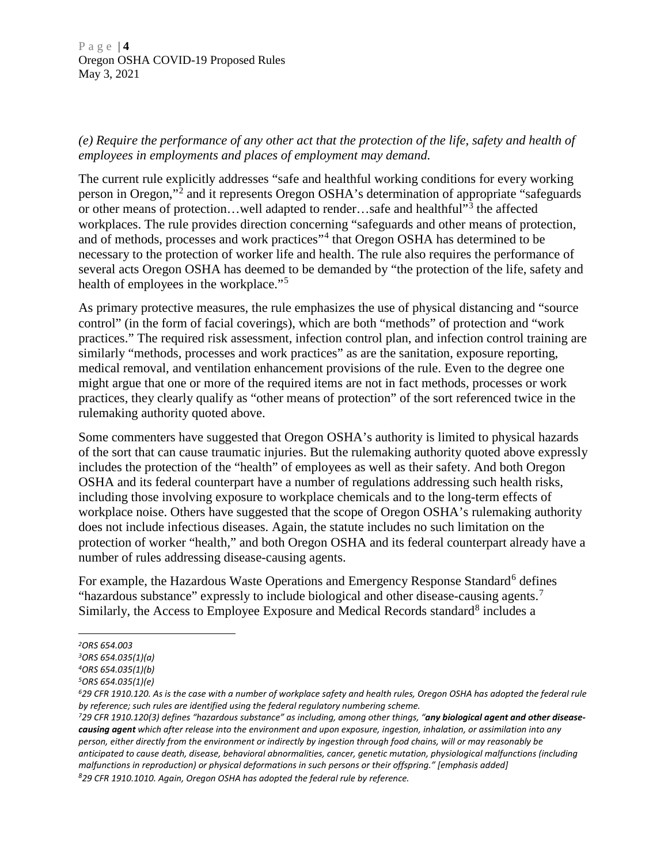Page | **4** Oregon OSHA COVID-19 Proposed Rules May 3, 2021

## *(e) Require the performance of any other act that the protection of the life, safety and health of employees in employments and places of employment may demand.*

The current rule explicitly addresses "safe and healthful working conditions for every working person in Oregon,"[2](#page-3-0) and it represents Oregon OSHA's determination of appropriate "safeguards or other means of protection...well adapted to render...safe and healthful"<sup>[3](#page-3-1)</sup> the affected workplaces. The rule provides direction concerning "safeguards and other means of protection, and of methods, processes and work practices"<sup>[4](#page-3-2)</sup> that Oregon OSHA has determined to be necessary to the protection of worker life and health. The rule also requires the performance of several acts Oregon OSHA has deemed to be demanded by "the protection of the life, safety and health of employees in the workplace."<sup>[5](#page-3-3)</sup>

As primary protective measures, the rule emphasizes the use of physical distancing and "source control" (in the form of facial coverings), which are both "methods" of protection and "work practices." The required risk assessment, infection control plan, and infection control training are similarly "methods, processes and work practices" as are the sanitation, exposure reporting, medical removal, and ventilation enhancement provisions of the rule. Even to the degree one might argue that one or more of the required items are not in fact methods, processes or work practices, they clearly qualify as "other means of protection" of the sort referenced twice in the rulemaking authority quoted above.

Some commenters have suggested that Oregon OSHA's authority is limited to physical hazards of the sort that can cause traumatic injuries. But the rulemaking authority quoted above expressly includes the protection of the "health" of employees as well as their safety. And both Oregon OSHA and its federal counterpart have a number of regulations addressing such health risks, including those involving exposure to workplace chemicals and to the long-term effects of workplace noise. Others have suggested that the scope of Oregon OSHA's rulemaking authority does not include infectious diseases. Again, the statute includes no such limitation on the protection of worker "health," and both Oregon OSHA and its federal counterpart already have a number of rules addressing disease-causing agents.

For example, the Hazardous Waste Operations and Emergency Response Standard<sup>[6](#page-3-4)</sup> defines "hazardous substance" expressly to include biological and other disease-causing agents.[7](#page-3-5) Similarly, the Access to Employee Exposure and Medical Records standard $8$  includes a

 $\overline{a}$ 

<span id="page-3-0"></span>*<sup>2</sup>ORS 654.003* 

<span id="page-3-1"></span>*<sup>3</sup>ORS 654.035(1)(a)*

<span id="page-3-2"></span>*<sup>4</sup>ORS 654.035(1)(b)*

<span id="page-3-3"></span>*<sup>5</sup>ORS 654.035(1)(e)*

<span id="page-3-4"></span>*<sup>629</sup> CFR 1910.120. As is the case with a number of workplace safety and health rules, Oregon OSHA has adopted the federal rule by reference; such rules are identified using the federal regulatory numbering scheme.*

<span id="page-3-6"></span><span id="page-3-5"></span>*<sup>729</sup> CFR 1910.120(3) defines "hazardous substance" as including, among other things, "any biological agent and other diseasecausing agent which after release into the environment and upon exposure, ingestion, inhalation, or assimilation into any person, either directly from the environment or indirectly by ingestion through food chains, will or may reasonably be anticipated to cause death, disease, behavioral abnormalities, cancer, genetic mutation, physiological malfunctions (including malfunctions in reproduction) or physical deformations in such persons or their offspring." [emphasis added] 8 29 CFR 1910.1010. Again, Oregon OSHA has adopted the federal rule by reference.*